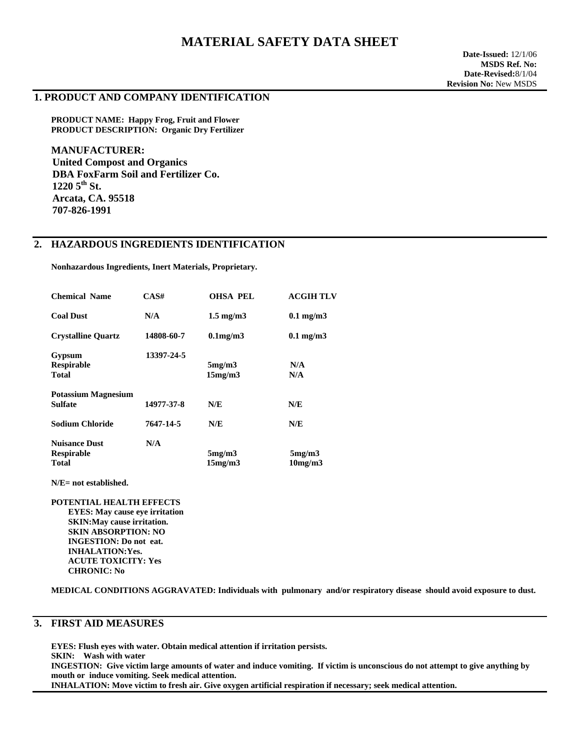# **MATERIAL SAFETY DATA SHEET**

#### **1. PRODUCT AND COMPANY IDENTIFICATION**

**PRODUCT NAME: Happy Frog, Fruit and Flower PRODUCT DESCRIPTION: Organic Dry Fertilizer** 

**MANUFACTURER: United Compost and Organics DBA FoxFarm Soil and Fertilizer Co. 1220 5th St. Arcata, CA. 95518 707-826-1991** 

### **2. HAZARDOUS INGREDIENTS IDENTIFICATION**

 **Nonhazardous Ingredients, Inert Materials, Proprietary.** 

| <b>Chemical Name</b>       | CASH       | <b>OHSA PEL</b>    | <b>ACGIH TLV</b> |
|----------------------------|------------|--------------------|------------------|
| <b>Coal Dust</b>           | N/A        | $1.5 \text{ mg/m}$ | $0.1$ mg/m $3$   |
| <b>Crystalline Quartz</b>  | 14808-60-7 | $0.1$ mg/m $3$     | $0.1$ mg/m $3$   |
| Gypsum                     | 13397-24-5 |                    |                  |
| <b>Respirable</b>          |            | 5mg/m3             | N/A              |
| <b>Total</b>               |            | 15mg/m3            | N/A              |
| <b>Potassium Magnesium</b> |            |                    |                  |
| <b>Sulfate</b>             | 14977-37-8 | N/E                | N/E              |
| Sodium Chloride            | 7647-14-5  | N/E                | N/E              |
| <b>Nuisance Dust</b>       | N/A        |                    |                  |
| <b>Respirable</b>          |            | 5mg/m3             | 5mg/m3           |
| <b>Total</b>               |            | 15mg/m3            | 10mg/m3          |
|                            |            |                    |                  |

 **N/E= not established.** 

 **POTENTIAL HEALTH EFFECTS EYES: May cause eye irritation SKIN:May cause irritation. SKIN ABSORPTION: NO INGESTION: Do not eat. INHALATION:Yes. ACUTE TOXICITY: Yes CHRONIC: No** 

 **MEDICAL CONDITIONS AGGRAVATED: Individuals with pulmonary and/or respiratory disease should avoid exposure to dust.** 

# **3. FIRST AID MEASURES**

**EYES: Flush eyes with water. Obtain medical attention if irritation persists. SKIN: Wash with water INGESTION: Give victim large amounts of water and induce vomiting. If victim is unconscious do not attempt to give anything by mouth or induce vomiting. Seek medical attention. INHALATION: Move victim to fresh air. Give oxygen artificial respiration if necessary; seek medical attention.**